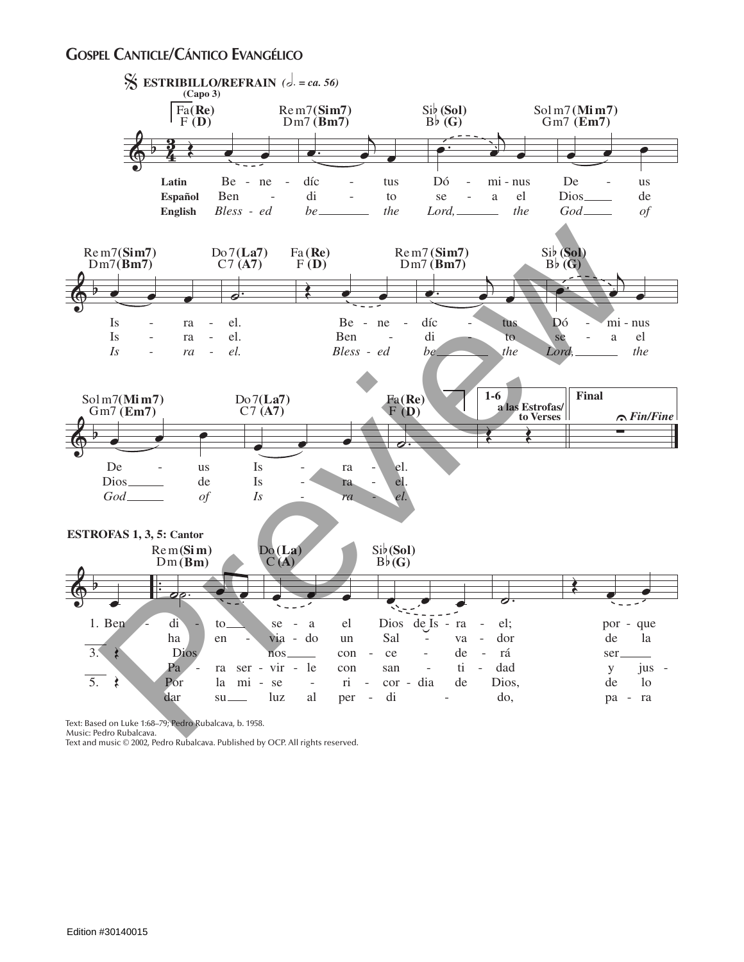## **Gospel Canticle/Cántico Evangélico**



Text: Based on Luke 1:68–79; Pedro Rubalcava, b. 1958.

Music: Pedro Rubalcava.<br>Text and music © 2002, Pedro Rubalcava. Published by OCP. All rights reserved.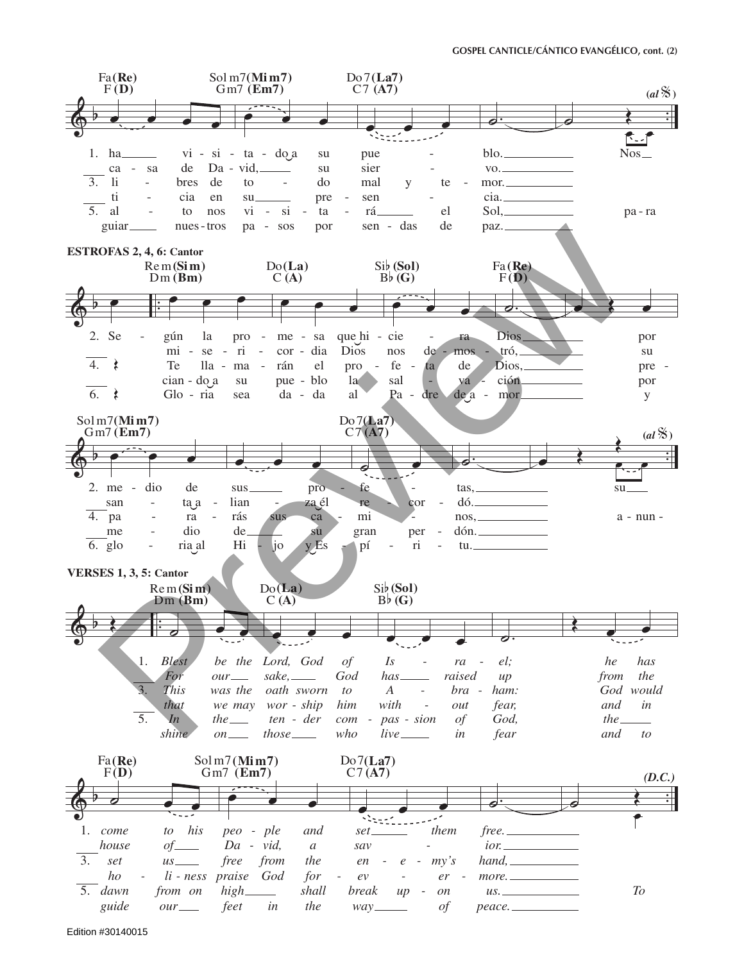